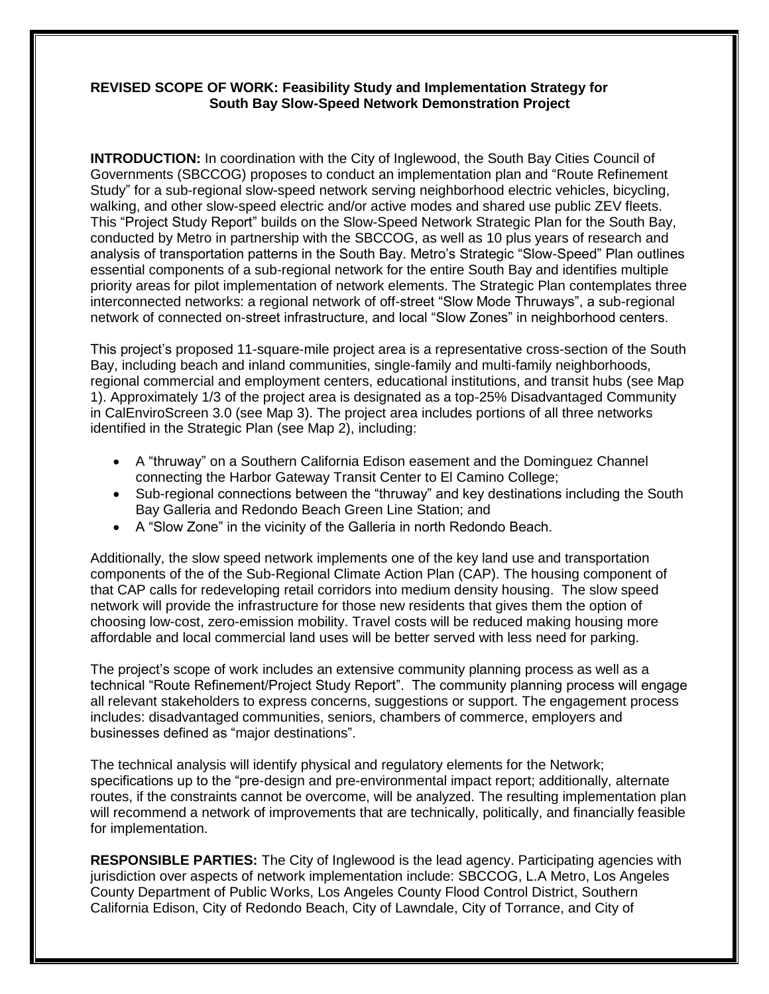#### **REVISED SCOPE OF WORK: Feasibility Study and Implementation Strategy for South Bay Slow-Speed Network Demonstration Project**

**INTRODUCTION:** In coordination with the City of Inglewood, the South Bay Cities Council of Governments (SBCCOG) proposes to conduct an implementation plan and "Route Refinement Study" for a sub-regional slow-speed network serving neighborhood electric vehicles, bicycling, walking, and other slow-speed electric and/or active modes and shared use public ZEV fleets. This "Project Study Report" builds on the Slow-Speed Network Strategic Plan for the South Bay, conducted by Metro in partnership with the SBCCOG, as well as 10 plus years of research and analysis of transportation patterns in the South Bay. Metro's Strategic "Slow-Speed" Plan outlines essential components of a sub-regional network for the entire South Bay and identifies multiple priority areas for pilot implementation of network elements. The Strategic Plan contemplates three interconnected networks: a regional network of off-street "Slow Mode Thruways", a sub-regional network of connected on-street infrastructure, and local "Slow Zones" in neighborhood centers.

This project's proposed 11-square-mile project area is a representative cross-section of the South Bay, including beach and inland communities, single-family and multi-family neighborhoods, regional commercial and employment centers, educational institutions, and transit hubs (see Map 1). Approximately 1/3 of the project area is designated as a top-25% Disadvantaged Community in CalEnviroScreen 3.0 (see Map 3). The project area includes portions of all three networks identified in the Strategic Plan (see Map 2), including:

- A "thruway" on a Southern California Edison easement and the Dominguez Channel connecting the Harbor Gateway Transit Center to El Camino College;
- Sub-regional connections between the "thruway" and key destinations including the South Bay Galleria and Redondo Beach Green Line Station; and
- A "Slow Zone" in the vicinity of the Galleria in north Redondo Beach.

Additionally, the slow speed network implements one of the key land use and transportation components of the of the Sub-Regional Climate Action Plan (CAP). The housing component of that CAP calls for redeveloping retail corridors into medium density housing. The slow speed network will provide the infrastructure for those new residents that gives them the option of choosing low-cost, zero-emission mobility. Travel costs will be reduced making housing more affordable and local commercial land uses will be better served with less need for parking.

The project's scope of work includes an extensive community planning process as well as a technical "Route Refinement/Project Study Report". The community planning process will engage all relevant stakeholders to express concerns, suggestions or support. The engagement process includes: disadvantaged communities, seniors, chambers of commerce, employers and businesses defined as "major destinations".

The technical analysis will identify physical and regulatory elements for the Network; specifications up to the "pre-design and pre-environmental impact report; additionally, alternate routes, if the constraints cannot be overcome, will be analyzed. The resulting implementation plan will recommend a network of improvements that are technically, politically, and financially feasible for implementation.

**RESPONSIBLE PARTIES:** The City of Inglewood is the lead agency. Participating agencies with jurisdiction over aspects of network implementation include: SBCCOG, L.A Metro, Los Angeles County Department of Public Works, Los Angeles County Flood Control District, Southern California Edison, City of Redondo Beach, City of Lawndale, City of Torrance, and City of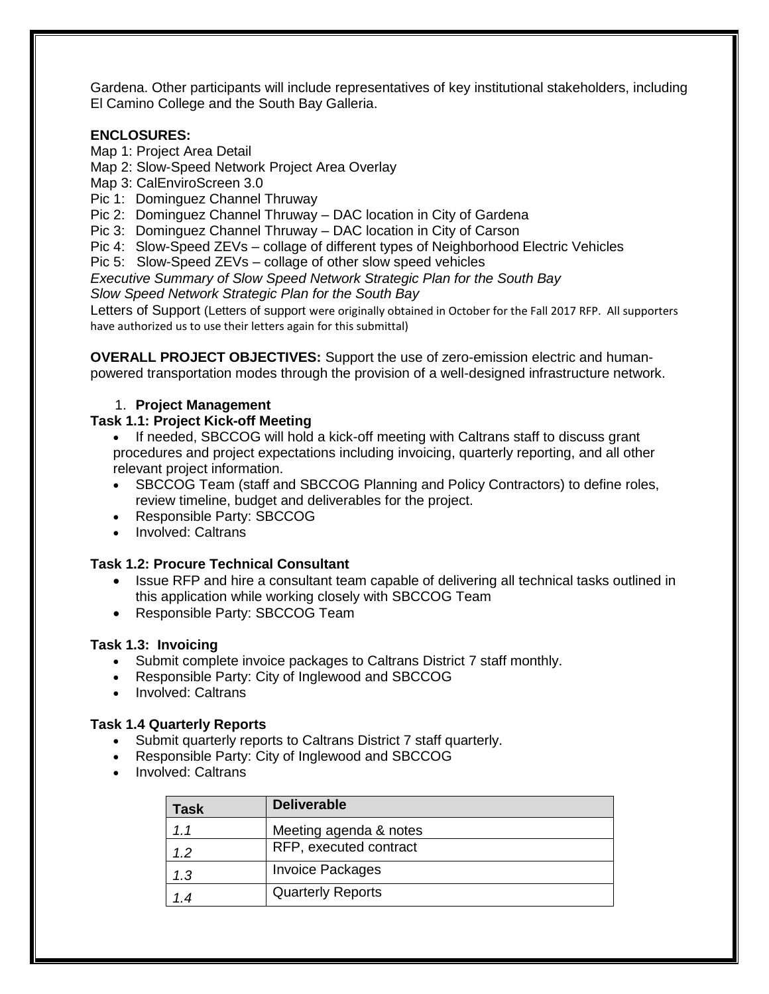Gardena. Other participants will include representatives of key institutional stakeholders, including El Camino College and the South Bay Galleria.

#### **ENCLOSURES:**

- Map 1: Project Area Detail
- Map 2: Slow-Speed Network Project Area Overlay
- Map 3: CalEnviroScreen 3.0
- Pic 1: Dominguez Channel Thruway
- Pic 2: Dominguez Channel Thruway DAC location in City of Gardena
- Pic 3: Dominguez Channel Thruway DAC location in City of Carson
- Pic 4: Slow-Speed ZEVs collage of different types of Neighborhood Electric Vehicles
- Pic 5: Slow-Speed ZEVs collage of other slow speed vehicles

*Executive Summary of Slow Speed Network Strategic Plan for the South Bay Slow Speed Network Strategic Plan for the South Bay*

Letters of Support (Letters of support were originally obtained in October for the Fall 2017 RFP. All supporters have authorized us to use their letters again for this submittal)

**OVERALL PROJECT OBJECTIVES:** Support the use of zero-emission electric and humanpowered transportation modes through the provision of a well-designed infrastructure network.

#### 1. **Project Management**

#### **Task 1.1: Project Kick-off Meeting**

- If needed, SBCCOG will hold a kick-off meeting with Caltrans staff to discuss grant procedures and project expectations including invoicing, quarterly reporting, and all other relevant project information.
- SBCCOG Team (staff and SBCCOG Planning and Policy Contractors) to define roles, review timeline, budget and deliverables for the project.
- Responsible Party: SBCCOG
- Involved: Caltrans

#### **Task 1.2: Procure Technical Consultant**

- Issue RFP and hire a consultant team capable of delivering all technical tasks outlined in this application while working closely with SBCCOG Team
- Responsible Party: SBCCOG Team

#### **Task 1.3: Invoicing**

- Submit complete invoice packages to Caltrans District 7 staff monthly.
- Responsible Party: City of Inglewood and SBCCOG
- Involved: Caltrans

#### **Task 1.4 Quarterly Reports**

- Submit quarterly reports to Caltrans District 7 staff quarterly.
- Responsible Party: City of Inglewood and SBCCOG
- Involved: Caltrans

| Task | <b>Deliverable</b>       |
|------|--------------------------|
| 1.1  | Meeting agenda & notes   |
| 12   | RFP, executed contract   |
| 1.3  | <b>Invoice Packages</b>  |
|      | <b>Quarterly Reports</b> |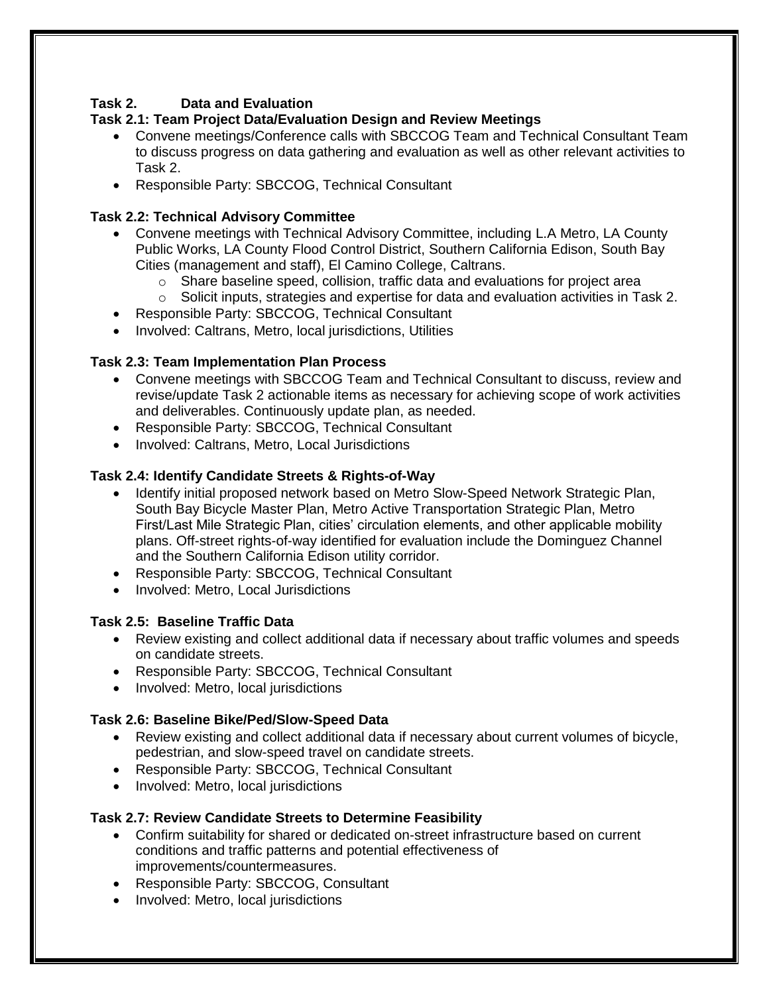# **Task 2. Data and Evaluation**

# **Task 2.1: Team Project Data/Evaluation Design and Review Meetings**

- Convene meetings/Conference calls with SBCCOG Team and Technical Consultant Team to discuss progress on data gathering and evaluation as well as other relevant activities to Task 2.
- Responsible Party: SBCCOG, Technical Consultant

# **Task 2.2: Technical Advisory Committee**

- Convene meetings with Technical Advisory Committee, including L.A Metro, LA County Public Works, LA County Flood Control District, Southern California Edison, South Bay Cities (management and staff), El Camino College, Caltrans.
	- $\circ$  Share baseline speed, collision, traffic data and evaluations for project area
	- o Solicit inputs, strategies and expertise for data and evaluation activities in Task 2.
- Responsible Party: SBCCOG, Technical Consultant
- Involved: Caltrans, Metro, local jurisdictions, Utilities

# **Task 2.3: Team Implementation Plan Process**

- Convene meetings with SBCCOG Team and Technical Consultant to discuss, review and revise/update Task 2 actionable items as necessary for achieving scope of work activities and deliverables. Continuously update plan, as needed.
- Responsible Party: SBCCOG, Technical Consultant
- Involved: Caltrans, Metro, Local Jurisdictions

# **Task 2.4: Identify Candidate Streets & Rights-of-Way**

- Identify initial proposed network based on Metro Slow-Speed Network Strategic Plan, South Bay Bicycle Master Plan, Metro Active Transportation Strategic Plan, Metro First/Last Mile Strategic Plan, cities' circulation elements, and other applicable mobility plans. Off-street rights-of-way identified for evaluation include the Dominguez Channel and the Southern California Edison utility corridor.
- Responsible Party: SBCCOG, Technical Consultant
- Involved: Metro, Local Jurisdictions

## **Task 2.5: Baseline Traffic Data**

- Review existing and collect additional data if necessary about traffic volumes and speeds on candidate streets.
- Responsible Party: SBCCOG, Technical Consultant
- Involved: Metro, local jurisdictions

# **Task 2.6: Baseline Bike/Ped/Slow-Speed Data**

- Review existing and collect additional data if necessary about current volumes of bicycle, pedestrian, and slow-speed travel on candidate streets.
- Responsible Party: SBCCOG, Technical Consultant
- Involved: Metro, local jurisdictions

# **Task 2.7: Review Candidate Streets to Determine Feasibility**

- Confirm suitability for shared or dedicated on-street infrastructure based on current conditions and traffic patterns and potential effectiveness of improvements/countermeasures.
- Responsible Party: SBCCOG, Consultant
- Involved: Metro, local jurisdictions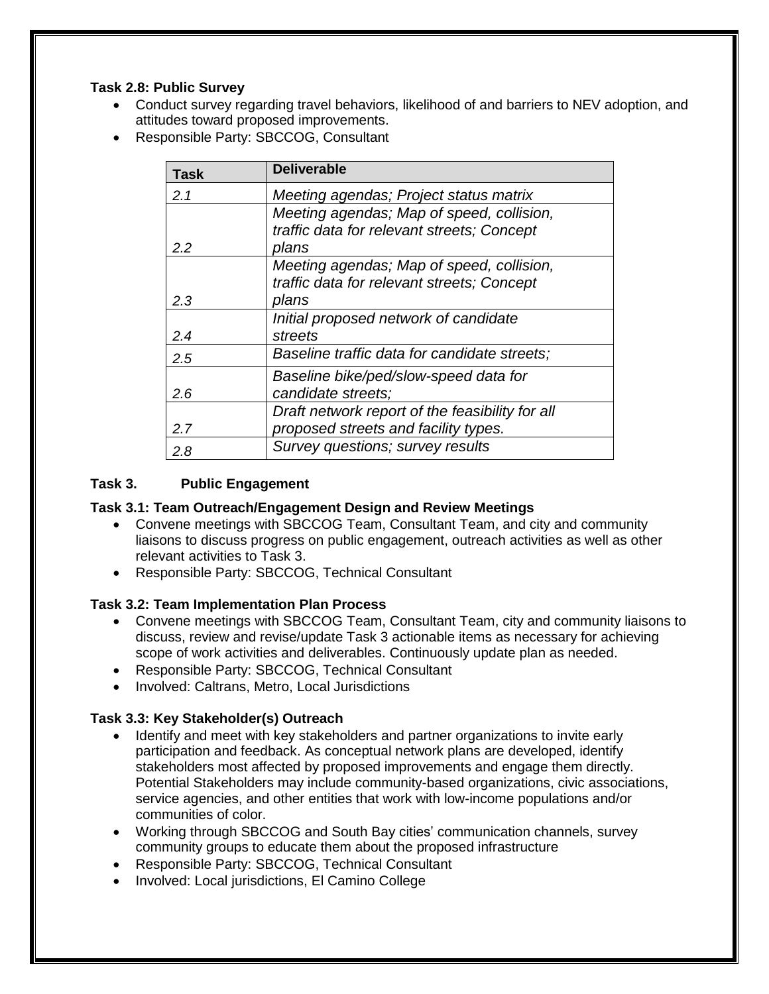### **Task 2.8: Public Survey**

- Conduct survey regarding travel behaviors, likelihood of and barriers to NEV adoption, and attitudes toward proposed improvements.
- Responsible Party: SBCCOG, Consultant

| Task          | <b>Deliverable</b>                              |
|---------------|-------------------------------------------------|
| 2.1           | Meeting agendas; Project status matrix          |
|               | Meeting agendas; Map of speed, collision,       |
|               | traffic data for relevant streets; Concept      |
| $2.2^{\circ}$ | plans                                           |
|               | Meeting agendas; Map of speed, collision,       |
|               | traffic data for relevant streets; Concept      |
| 2.3           | plans                                           |
|               | Initial proposed network of candidate           |
| 2.4           | streets                                         |
| 2.5           | Baseline traffic data for candidate streets;    |
|               | Baseline bike/ped/slow-speed data for           |
| 2.6           | candidate streets;                              |
|               | Draft network report of the feasibility for all |
| 2.7           | proposed streets and facility types.            |
| 2.8           | Survey questions; survey results                |

## **Task 3. Public Engagement**

### **Task 3.1: Team Outreach/Engagement Design and Review Meetings**

- Convene meetings with SBCCOG Team, Consultant Team, and city and community liaisons to discuss progress on public engagement, outreach activities as well as other relevant activities to Task 3.
- Responsible Party: SBCCOG, Technical Consultant

### **Task 3.2: Team Implementation Plan Process**

- Convene meetings with SBCCOG Team, Consultant Team, city and community liaisons to discuss, review and revise/update Task 3 actionable items as necessary for achieving scope of work activities and deliverables. Continuously update plan as needed.
- Responsible Party: SBCCOG, Technical Consultant
- Involved: Caltrans, Metro, Local Jurisdictions

### **Task 3.3: Key Stakeholder(s) Outreach**

- Identify and meet with key stakeholders and partner organizations to invite early participation and feedback. As conceptual network plans are developed, identify stakeholders most affected by proposed improvements and engage them directly. Potential Stakeholders may include community-based organizations, civic associations, service agencies, and other entities that work with low-income populations and/or communities of color.
- Working through SBCCOG and South Bay cities' communication channels, survey community groups to educate them about the proposed infrastructure
- Responsible Party: SBCCOG, Technical Consultant
- Involved: Local jurisdictions, El Camino College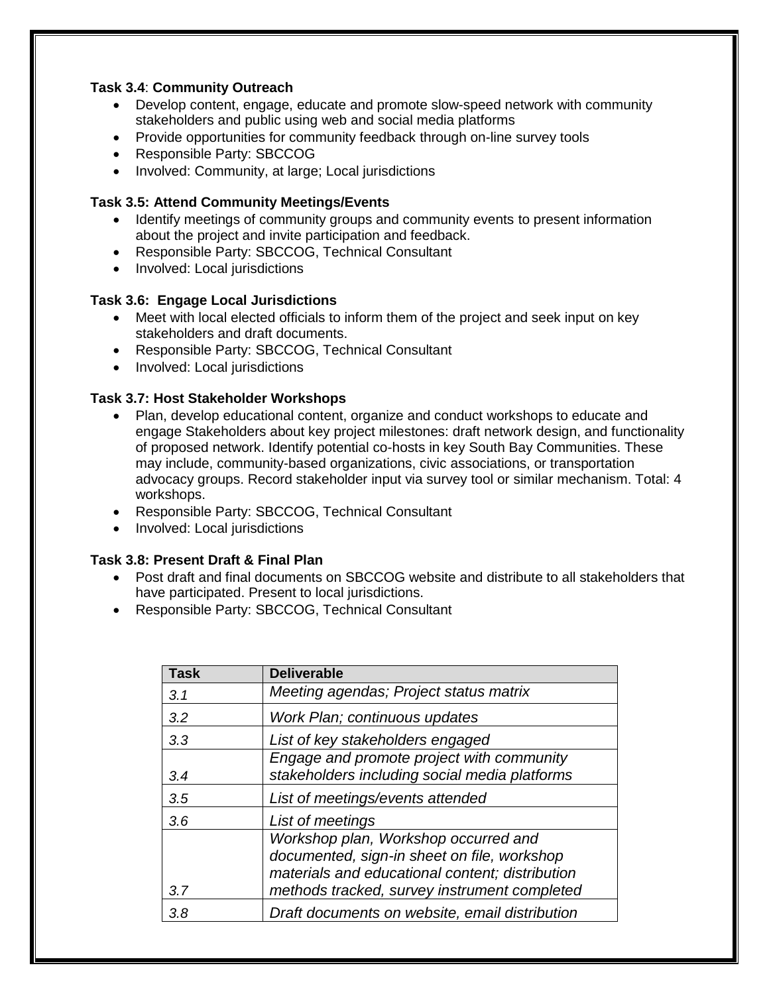### **Task 3.4**: **Community Outreach**

- Develop content, engage, educate and promote slow-speed network with community stakeholders and public using web and social media platforms
- Provide opportunities for community feedback through on-line survey tools
- Responsible Party: SBCCOG
- Involved: Community, at large; Local jurisdictions

#### **Task 3.5: Attend Community Meetings/Events**

- Identify meetings of community groups and community events to present information about the project and invite participation and feedback.
- Responsible Party: SBCCOG, Technical Consultant
- Involved: Local jurisdictions

#### **Task 3.6: Engage Local Jurisdictions**

- Meet with local elected officials to inform them of the project and seek input on key stakeholders and draft documents.
- Responsible Party: SBCCOG, Technical Consultant
- Involved: Local jurisdictions

#### **Task 3.7: Host Stakeholder Workshops**

- Plan, develop educational content, organize and conduct workshops to educate and engage Stakeholders about key project milestones: draft network design, and functionality of proposed network. Identify potential co-hosts in key South Bay Communities. These may include, community-based organizations, civic associations, or transportation advocacy groups. Record stakeholder input via survey tool or similar mechanism. Total: 4 workshops.
- Responsible Party: SBCCOG, Technical Consultant
- Involved: Local jurisdictions

#### **Task 3.8: Present Draft & Final Plan**

- Post draft and final documents on SBCCOG website and distribute to all stakeholders that have participated. Present to local jurisdictions.
- Responsible Party: SBCCOG, Technical Consultant

| Task | <b>Deliverable</b>                              |
|------|-------------------------------------------------|
| 3.1  | Meeting agendas; Project status matrix          |
| 3.2  | Work Plan; continuous updates                   |
| 3.3  | List of key stakeholders engaged                |
|      | Engage and promote project with community       |
| 3.4  | stakeholders including social media platforms   |
| 3.5  | List of meetings/events attended                |
| 3.6  | List of meetings                                |
|      | Workshop plan, Workshop occurred and            |
|      | documented, sign-in sheet on file, workshop     |
|      | materials and educational content; distribution |
| 3.7  | methods tracked, survey instrument completed    |
| 3.8  | Draft documents on website, email distribution  |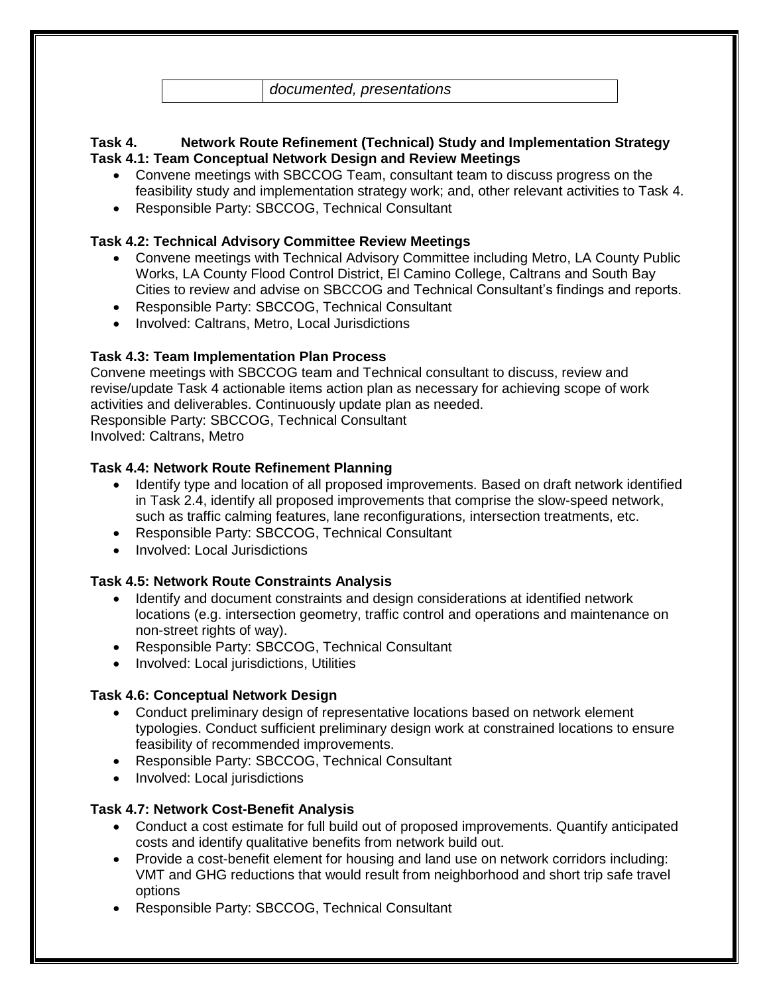*documented, presentations*

### **Task 4. Network Route Refinement (Technical) Study and Implementation Strategy Task 4.1: Team Conceptual Network Design and Review Meetings**

- Convene meetings with SBCCOG Team, consultant team to discuss progress on the feasibility study and implementation strategy work; and, other relevant activities to Task 4.
- Responsible Party: SBCCOG, Technical Consultant

### **Task 4.2: Technical Advisory Committee Review Meetings**

- Convene meetings with Technical Advisory Committee including Metro, LA County Public Works, LA County Flood Control District, El Camino College, Caltrans and South Bay Cities to review and advise on SBCCOG and Technical Consultant's findings and reports.
- Responsible Party: SBCCOG, Technical Consultant
- Involved: Caltrans, Metro, Local Jurisdictions

# **Task 4.3: Team Implementation Plan Process**

Convene meetings with SBCCOG team and Technical consultant to discuss, review and revise/update Task 4 actionable items action plan as necessary for achieving scope of work activities and deliverables. Continuously update plan as needed. Responsible Party: SBCCOG, Technical Consultant Involved: Caltrans, Metro

### **Task 4.4: Network Route Refinement Planning**

- Identify type and location of all proposed improvements. Based on draft network identified in Task 2.4, identify all proposed improvements that comprise the slow-speed network, such as traffic calming features, lane reconfigurations, intersection treatments, etc.
- Responsible Party: SBCCOG, Technical Consultant
- Involved: Local Jurisdictions

## **Task 4.5: Network Route Constraints Analysis**

- Identify and document constraints and design considerations at identified network locations (e.g. intersection geometry, traffic control and operations and maintenance on non-street rights of way).
- Responsible Party: SBCCOG, Technical Consultant
- Involved: Local jurisdictions, Utilities

### **Task 4.6: Conceptual Network Design**

- Conduct preliminary design of representative locations based on network element typologies. Conduct sufficient preliminary design work at constrained locations to ensure feasibility of recommended improvements.
- Responsible Party: SBCCOG, Technical Consultant
- Involved: Local jurisdictions

## **Task 4.7: Network Cost-Benefit Analysis**

- Conduct a cost estimate for full build out of proposed improvements. Quantify anticipated costs and identify qualitative benefits from network build out.
- Provide a cost-benefit element for housing and land use on network corridors including: VMT and GHG reductions that would result from neighborhood and short trip safe travel options
- Responsible Party: SBCCOG, Technical Consultant